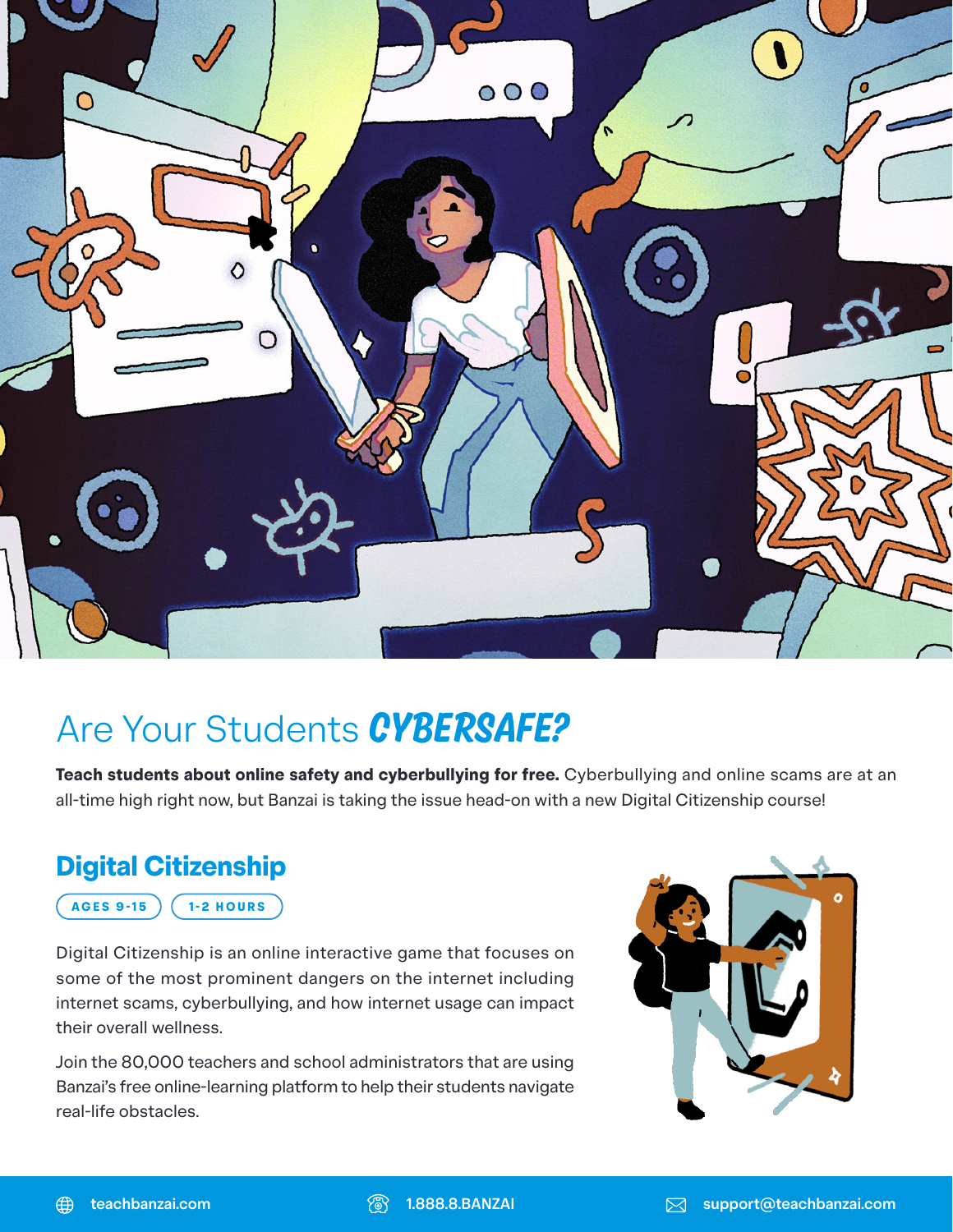

## Are Your Students *Cybersafe?*

**Teach students about online safety and cyberbullying for free.** Cyberbullying and online scams are at an all-time high right now, but Banzai is taking the issue head-on with a new Digital Citizenship course!

## **Digital Citizenship**

**AGES 9-15 1-2 HOURS**

Digital Citizenship is an online interactive game that focuses on some of the most prominent dangers on the internet including internet scams, cyberbullying, and how internet usage can impact their overall wellness.

Join the 80,000 teachers and school administrators that are using Banzai's free online-learning platform to help their students navigate real-life obstacles.